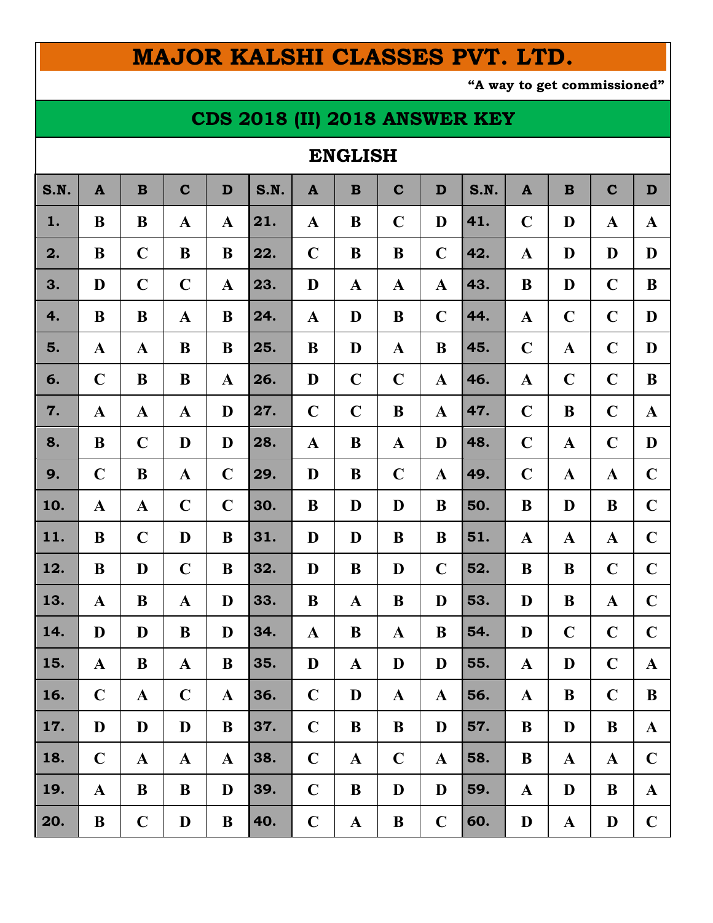# **MAJOR KALSHI CLASSES PVT. LTD.**

**"A way to get commissioned"**

## **CDS 2018 (II) 2018 ANSWER KEY**

### **ENGLISH**

| S.N. | $\mathbf{A}$ | $\mathbf B$  | $\mathbf C$  | D            | S.N. | $\mathbf{A}$ | $\mathbf B$  | $\mathbf C$  | D            | S.N. | $\mathbf{A}$ | $\mathbf B$  | $\mathbf C$  | D            |
|------|--------------|--------------|--------------|--------------|------|--------------|--------------|--------------|--------------|------|--------------|--------------|--------------|--------------|
| 1.   | B            | B            | $\mathbf A$  | $\mathbf{A}$ | 21.  | $\mathbf{A}$ | $\bf{B}$     | $\mathbf C$  | D            | 41.  | $\mathbf C$  | D            | $\mathbf{A}$ | $\mathbf A$  |
| 2.   | B            | $\mathbf C$  | B            | B            | 22.  | $\mathbf C$  | B            | B            | $\mathbf C$  | 42.  | $\mathbf{A}$ | D            | D            | D            |
| 3.   | D            | $\mathbf C$  | $\mathbf C$  | $\mathbf{A}$ | 23.  | D            | $\mathbf A$  | $\mathbf A$  | $\mathbf A$  | 43.  | B            | D            | $\mathbf C$  | B            |
| 4.   | B            | B            | $\mathbf{A}$ | B            | 24.  | $\mathbf{A}$ | D            | B            | $\mathbf C$  | 44.  | $\mathbf{A}$ | $\mathbf C$  | $\mathbf C$  | D            |
| 5.   | $\mathbf{A}$ | $\mathbf A$  | B            | B            | 25.  | B            | D            | $\mathbf{A}$ | $\bf{B}$     | 45.  | $\mathbf C$  | $\mathbf{A}$ | $\mathbf C$  | D            |
| 6.   | $\mathbf C$  | B            | B            | $\mathbf{A}$ | 26.  | D            | $\mathbf C$  | $\mathbf C$  | $\mathbf{A}$ | 46.  | $\mathbf{A}$ | $\mathbf C$  | $\mathbf C$  | B            |
| 7.   | $\mathbf{A}$ | $\mathbf A$  | $\mathbf A$  | D            | 27.  | $\mathbf C$  | $\mathbf C$  | B            | $\mathbf A$  | 47.  | $\mathbf C$  | B            | $\mathbf C$  | $\mathbf A$  |
| 8.   | B            | $\mathbf C$  | D            | D            | 28.  | $\mathbf{A}$ | $\bf{B}$     | $\mathbf{A}$ | D            | 48.  | $\mathbf C$  | $\mathbf A$  | $\mathbf C$  | D            |
| 9.   | $\mathbf C$  | B            | $\mathbf{A}$ | $\mathbf C$  | 29.  | D            | $\bf{B}$     | $\mathbf C$  | $\mathbf{A}$ | 49.  | $\mathbf C$  | $\mathbf A$  | $\mathbf A$  | $\mathbf C$  |
| 10.  | $\mathbf A$  | $\mathbf A$  | $\mathbf C$  | $\mathbf C$  | 30.  | B            | D            | D            | B            | 50.  | B            | D            | B            | $\mathbf C$  |
| 11.  | B            | $\mathbf C$  | D            | B            | 31.  | D            | D            | B            | B            | 51.  | $\mathbf A$  | $\mathbf{A}$ | $\mathbf{A}$ | $\mathbf C$  |
| 12.  | B            | D            | $\mathbf C$  | B            | 32.  | D            | $\bf{B}$     | D            | $\mathbf C$  | 52.  | $\bf{B}$     | B            | $\mathbf C$  | $\mathbf C$  |
| 13.  | $\mathbf{A}$ | B            | $\mathbf A$  | D            | 33.  | B            | $\mathbf A$  | B            | D            | 53.  | D            | B            | $\mathbf A$  | $\mathbf C$  |
| 14.  | D            | D            | B            | D            | 34.  | $\mathbf A$  | B            | $\mathbf A$  | B            | 54.  | D            | $\mathbf C$  | $\mathbf C$  | $\mathbf C$  |
| 15.  | $\mathbf{A}$ | B            | $\mathbf{A}$ | B            | 35.  | D            | $\mathbf{A}$ | D            | D            | 55.  | $\mathbf{A}$ | D            | $\mathbf C$  | $\mathbf{A}$ |
| 16.  | $\mathbf C$  | $\mathbf A$  | $\mathbf C$  | $\mathbf{A}$ | 36.  | $\mathbf C$  | D            | $\mathbf{A}$ | $\mathbf{A}$ | 56.  | $\mathbf{A}$ | B            | $\mathbf C$  | B            |
| 17.  | D            | D            | D            | B            | 37.  | $\mathbf C$  | B            | B            | D            | 57.  | $\bf{B}$     | D            | $\bf{B}$     | $\mathbf{A}$ |
| 18.  | $\mathbf C$  | $\mathbf{A}$ | $\mathbf{A}$ | $\mathbf{A}$ | 38.  | $\mathbf C$  | $\mathbf{A}$ | $\mathbf C$  | $\mathbf{A}$ | 58.  | $\bf{B}$     | $\mathbf{A}$ | $\mathbf{A}$ | $\mathbf C$  |
| 19.  | $\mathbf{A}$ | B            | B            | D            | 39.  | $\mathbf C$  | B            | D            | D            | 59.  | $\mathbf{A}$ | D            | $\bf{B}$     | $\mathbf{A}$ |
| 20.  | $\bf{B}$     | $\mathbf C$  | D            | $\bf{B}$     | 40.  | $\mathbf C$  | $\mathbf{A}$ | $\bf{B}$     | $\mathbf C$  | 60.  | D            | $\mathbf{A}$ | $\mathbf{D}$ | $\mathbf C$  |